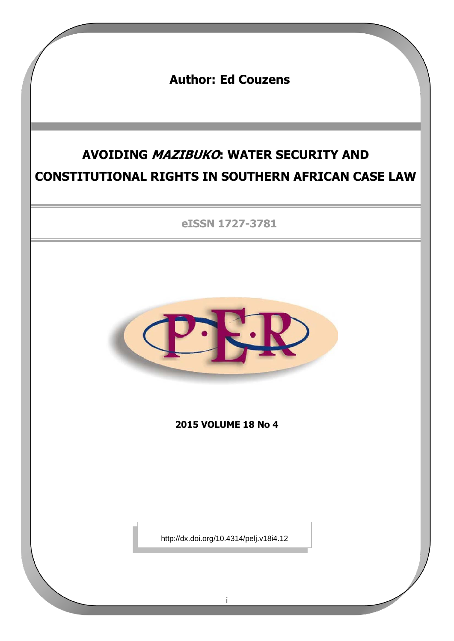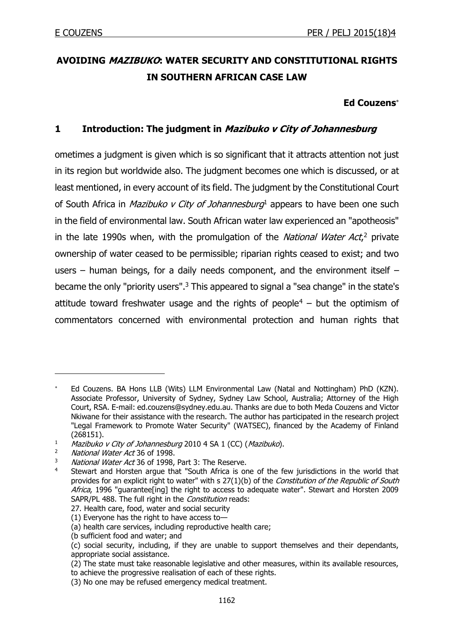# **AVOIDING MAZIBUKO: WATER SECURITY AND CONSTITUTIONAL RIGHTS IN SOUTHERN AFRICAN CASE LAW**

### **Ed Couzens**

# **1 Introduction: The judgment in Mazibuko v City of Johannesburg**

ometimes a judgment is given which is so significant that it attracts attention not just in its region but worldwide also. The judgment becomes one which is discussed, or at least mentioned, in every account of its field. The judgment by the Constitutional Court of South Africa in *Mazibuko v City of Johannesburg*<sup>1</sup> appears to have been one such in the field of environmental law. South African water law experienced an "apotheosis" in the late 1990s when, with the promulgation of the *National Water Act*,<sup>2</sup> private ownership of water ceased to be permissible; riparian rights ceased to exist; and two users – human beings, for a daily needs component, and the environment itself – became the only "priority users".<sup>3</sup> This appeared to signal a "sea change" in the state's attitude toward freshwater usage and the rights of people<sup>4</sup> – but the optimism of commentators concerned with environmental protection and human rights that

Ed Couzens. BA Hons LLB (Wits) LLM Environmental Law (Natal and Nottingham) PhD (KZN). Associate Professor, University of Sydney, Sydney Law School, Australia; Attorney of the High Court, RSA. E-mail: ed.couzens@sydney.edu.au. Thanks are due to both Meda Couzens and Victor Nkiwane for their assistance with the research. The author has participated in the research project "Legal Framework to Promote Water Security" (WATSEC), financed by the Academy of Finland (268151).

 $1$  Mazibuko v City of Johannesburg 2010 4 SA 1 (CC) (Mazibuko).

<sup>&</sup>lt;sup>2</sup> *National Water Act* 36 of 1998.

 $3$  *National Water Act* 36 of 1998, Part 3: The Reserve.

Stewart and Horsten argue that "South Africa is one of the few jurisdictions in the world that provides for an explicit right to water" with s 27(1)(b) of the Constitution of the Republic of South Africa, 1996 "guarantee[ing] the right to access to adequate water". Stewart and Horsten 2009 SAPR/PL 488. The full right in the Constitution reads:

<sup>27.</sup> Health care, food, water and social security

<sup>(1)</sup> Everyone has the right to have access to—

<sup>(</sup>a) health care services, including reproductive health care;

<sup>(</sup>b sufficient food and water; and

<sup>(</sup>c) social security, including, if they are unable to support themselves and their dependants, appropriate social assistance.

<sup>(2)</sup> The state must take reasonable legislative and other measures, within its available resources, to achieve the progressive realisation of each of these rights.

<sup>(3)</sup> No one may be refused emergency medical treatment.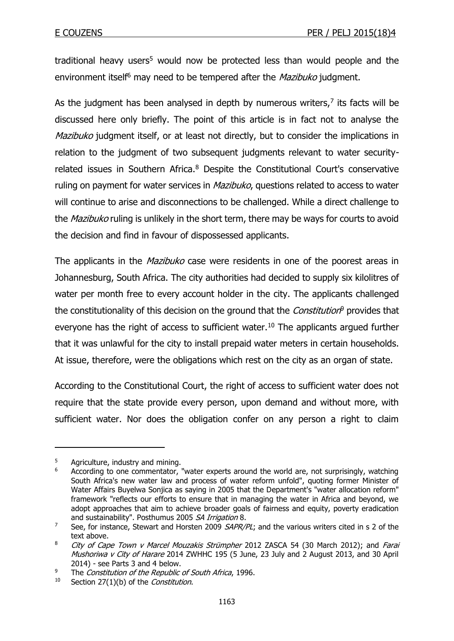traditional heavy users<sup>5</sup> would now be protected less than would people and the environment itself<sup>6</sup> may need to be tempered after the *Mazibuko* judgment.

As the judgment has been analysed in depth by numerous writers, $<sup>7</sup>$  its facts will be</sup> discussed here only briefly. The point of this article is in fact not to analyse the Mazibuko judgment itself, or at least not directly, but to consider the implications in relation to the judgment of two subsequent judgments relevant to water securityrelated issues in Southern Africa.<sup>8</sup> Despite the Constitutional Court's conservative ruling on payment for water services in *Mazibuko*, questions related to access to water will continue to arise and disconnections to be challenged. While a direct challenge to the *Mazibuko* ruling is unlikely in the short term, there may be ways for courts to avoid the decision and find in favour of dispossessed applicants.

The applicants in the *Mazibuko* case were residents in one of the poorest areas in Johannesburg, South Africa. The city authorities had decided to supply six kilolitres of water per month free to every account holder in the city. The applicants challenged the constitutionality of this decision on the ground that the *Constitution*<sup>9</sup> provides that everyone has the right of access to sufficient water.<sup>10</sup> The applicants argued further that it was unlawful for the city to install prepaid water meters in certain households. At issue, therefore, were the obligations which rest on the city as an organ of state.

According to the Constitutional Court, the right of access to sufficient water does not require that the state provide every person, upon demand and without more, with sufficient water. Nor does the obligation confer on any person a right to claim

 $5$  Agriculture, industry and mining.

According to one commentator, "water experts around the world are, not surprisingly, watching South Africa's new water law and process of water reform unfold", quoting former Minister of Water Affairs Buyelwa Sonjica as saying in 2005 that the Department's "water allocation reform" framework "reflects our efforts to ensure that in managing the water in Africa and beyond, we adopt approaches that aim to achieve broader goals of fairness and equity, poverty eradication and sustainability". Posthumus 2005 SA Irrigation 8.

<sup>&</sup>lt;sup>7</sup> See, for instance, Stewart and Horsten 2009  $SAPR/PL$ ; and the various writers cited in s 2 of the text above.

<sup>&</sup>lt;sup>8</sup> City of Cape Town v Marcel Mouzakis Strümpher 2012 ZASCA 54 (30 March 2012); and Farai Mushoriwa v City of Harare 2014 ZWHHC 195 (5 June, 23 July and 2 August 2013, and 30 April 2014) - see Parts 3 and 4 below.

<sup>&</sup>lt;sup>9</sup> The *Constitution of the Republic of South Africa*, 1996.

 $10$  Section 27(1)(b) of the *Constitution*.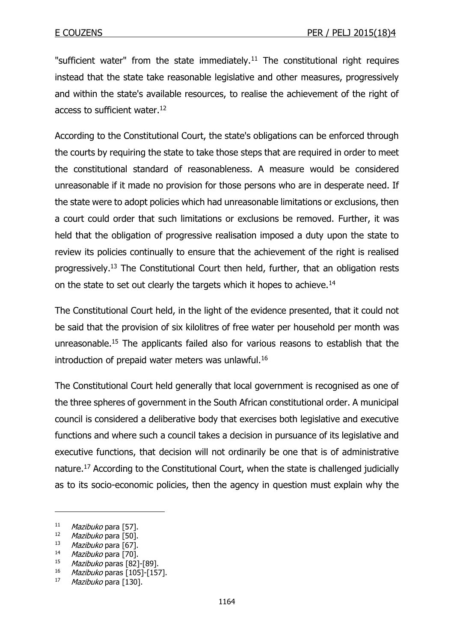"sufficient water" from the state immediately.<sup>11</sup> The constitutional right requires instead that the state take reasonable legislative and other measures, progressively and within the state's available resources, to realise the achievement of the right of access to sufficient water.<sup>12</sup>

According to the Constitutional Court, the state's obligations can be enforced through the courts by requiring the state to take those steps that are required in order to meet the constitutional standard of reasonableness. A measure would be considered unreasonable if it made no provision for those persons who are in desperate need. If the state were to adopt policies which had unreasonable limitations or exclusions, then a court could order that such limitations or exclusions be removed. Further, it was held that the obligation of progressive realisation imposed a duty upon the state to review its policies continually to ensure that the achievement of the right is realised progressively.<sup>13</sup> The Constitutional Court then held, further, that an obligation rests on the state to set out clearly the targets which it hopes to achieve.<sup>14</sup>

The Constitutional Court held, in the light of the evidence presented, that it could not be said that the provision of six kilolitres of free water per household per month was unreasonable.<sup>15</sup> The applicants failed also for various reasons to establish that the introduction of prepaid water meters was unlawful.<sup>16</sup>

The Constitutional Court held generally that local government is recognised as one of the three spheres of government in the South African constitutional order. A municipal council is considered a deliberative body that exercises both legislative and executive functions and where such a council takes a decision in pursuance of its legislative and executive functions, that decision will not ordinarily be one that is of administrative nature.<sup>17</sup> According to the Constitutional Court, when the state is challenged judicially as to its socio-economic policies, then the agency in question must explain why the

<sup>&</sup>lt;sup>11</sup> Mazibuko para [57].

<sup>12</sup> Mazibuko para [50].

<sup>&</sup>lt;sup>13</sup> *Mazibuko* para [67].

 $14$  *Mazibuko* para [70].

Mazibuko paras [82]-[89].

<sup>16</sup> Mazibuko paras [105]-[157].

 $17$  *Mazibuko* para [130].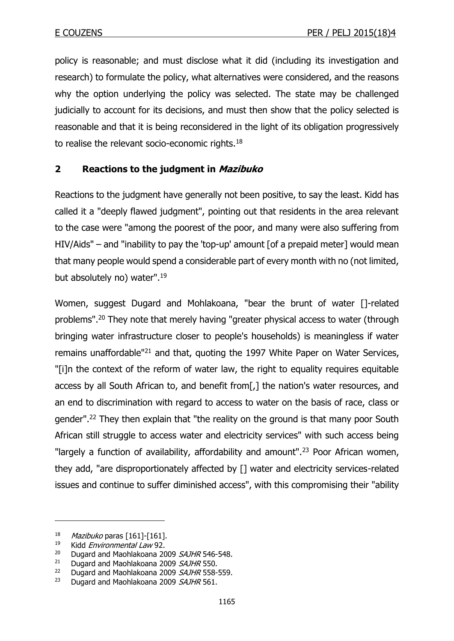policy is reasonable; and must disclose what it did (including its investigation and research) to formulate the policy, what alternatives were considered, and the reasons why the option underlying the policy was selected. The state may be challenged judicially to account for its decisions, and must then show that the policy selected is reasonable and that it is being reconsidered in the light of its obligation progressively to realise the relevant socio-economic rights.<sup>18</sup>

# **2 Reactions to the judgment in Mazibuko**

Reactions to the judgment have generally not been positive, to say the least. Kidd has called it a "deeply flawed judgment", pointing out that residents in the area relevant to the case were "among the poorest of the poor, and many were also suffering from HIV/Aids" – and "inability to pay the 'top-up' amount [of a prepaid meter] would mean that many people would spend a considerable part of every month with no (not limited, but absolutely no) water".<sup>19</sup>

Women, suggest Dugard and Mohlakoana, "bear the brunt of water []-related problems".<sup>20</sup> They note that merely having "greater physical access to water (through bringing water infrastructure closer to people's households) is meaningless if water remains unaffordable"<sup>21</sup> and that, quoting the 1997 White Paper on Water Services, "[i]n the context of the reform of water law, the right to equality requires equitable access by all South African to, and benefit from[,] the nation's water resources, and an end to discrimination with regard to access to water on the basis of race, class or gender".<sup>22</sup> They then explain that "the reality on the ground is that many poor South African still struggle to access water and electricity services" with such access being "largely a function of availability, affordability and amount".<sup>23</sup> Poor African women, they add, "are disproportionately affected by [] water and electricity services-related issues and continue to suffer diminished access", with this compromising their "ability

 $18$  *Mazibuko* paras [161]-[161].

<sup>&</sup>lt;sup>19</sup> Kidd *Environmental Law* 92.

<sup>&</sup>lt;sup>20</sup> Dugard and Maohlakoana 2009 *SAJHR* 546-548.<br><sup>21</sup> Dugard and Maohlakoana 2009 *SAJHR* 550

Dugard and Maohlakoana 2009 SAJHR 550.

 $22$  Dugard and Maohlakoana 2009 *SAJHR* 558-559.

<sup>&</sup>lt;sup>23</sup> Dugard and Maohlakoana 2009  $SAJHR$  561.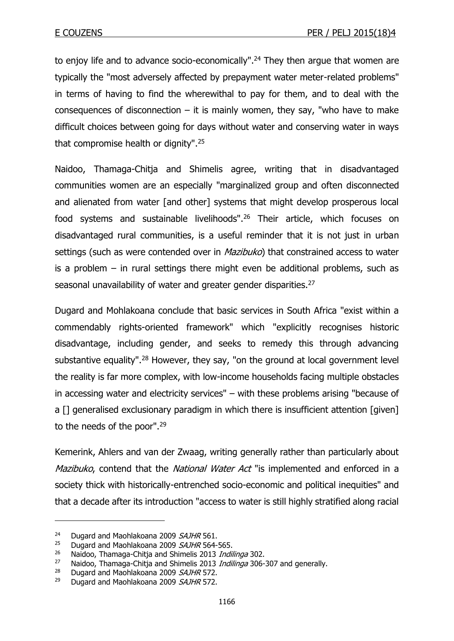to enjoy life and to advance socio-economically".<sup>24</sup> They then argue that women are typically the "most adversely affected by prepayment water meter-related problems" in terms of having to find the wherewithal to pay for them, and to deal with the consequences of disconnection  $-$  it is mainly women, they say, "who have to make difficult choices between going for days without water and conserving water in ways that compromise health or dignity".<sup>25</sup>

Naidoo, Thamaga-Chitja and Shimelis agree, writing that in disadvantaged communities women are an especially "marginalized group and often disconnected and alienated from water [and other] systems that might develop prosperous local food systems and sustainable livelihoods".<sup>26</sup> Their article, which focuses on disadvantaged rural communities, is a useful reminder that it is not just in urban settings (such as were contended over in *Mazibuko*) that constrained access to water is a problem – in rural settings there might even be additional problems, such as seasonal unavailability of water and greater gender disparities.<sup>27</sup>

Dugard and Mohlakoana conclude that basic services in South Africa "exist within a commendably rights-oriented framework" which "explicitly recognises historic disadvantage, including gender, and seeks to remedy this through advancing substantive equality".<sup>28</sup> However, they say, "on the ground at local government level the reality is far more complex, with low-income households facing multiple obstacles in accessing water and electricity services" – with these problems arising "because of a [] generalised exclusionary paradigm in which there is insufficient attention [given] to the needs of the poor".<sup>29</sup>

Kemerink, Ahlers and van der Zwaag, writing generally rather than particularly about Mazibuko, contend that the National Water Act "is implemented and enforced in a society thick with historically-entrenched socio-economic and political inequities" and that a decade after its introduction "access to water is still highly stratified along racial

<sup>&</sup>lt;sup>24</sup> Dugard and Maohlakoana 2009 SAJHR 561.

<sup>&</sup>lt;sup>25</sup> Dugard and Maohlakoana 2009 *SAJHR* 564-565.<br><sup>26</sup> Naidoo Thamaga-Chitia and Shimelis 2013 *India* 

<sup>&</sup>lt;sup>26</sup> Naidoo, Thamaga-Chitja and Shimelis 2013 *Indilinga* 302.<br><sup>27</sup> Naidoo, Thamaga-Chitja and Shimelis 2013 *Indilinga* 306-

Naidoo, Thamaga-Chitja and Shimelis 2013 *Indilinga* 306-307 and generally.

 $28$  Dugard and Maohlakoana 2009 SAJHR 572.

<sup>&</sup>lt;sup>29</sup> Dugard and Maohlakoana 2009  $SAJHR$  572.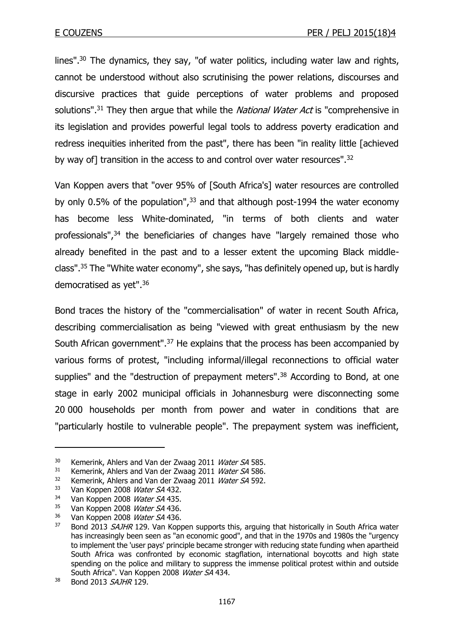lines".<sup>30</sup> The dynamics, they say, "of water politics, including water law and rights, cannot be understood without also scrutinising the power relations, discourses and discursive practices that guide perceptions of water problems and proposed solutions".<sup>31</sup> They then argue that while the *National Water Act* is "comprehensive in its legislation and provides powerful legal tools to address poverty eradication and redress inequities inherited from the past", there has been "in reality little [achieved by way of] transition in the access to and control over water resources".<sup>32</sup>

Van Koppen avers that "over 95% of [South Africa's] water resources are controlled by only 0.5% of the population",  $33$  and that although post-1994 the water economy has become less White-dominated, "in terms of both clients and water professionals",<sup>34</sup> the beneficiaries of changes have "largely remained those who already benefited in the past and to a lesser extent the upcoming Black middleclass".<sup>35</sup> The "White water economy", she says, "has definitely opened up, but is hardly democratised as yet".<sup>36</sup>

Bond traces the history of the "commercialisation" of water in recent South Africa, describing commercialisation as being "viewed with great enthusiasm by the new South African government".<sup>37</sup> He explains that the process has been accompanied by various forms of protest, "including informal/illegal reconnections to official water supplies" and the "destruction of prepayment meters".<sup>38</sup> According to Bond, at one stage in early 2002 municipal officials in Johannesburg were disconnecting some 20 000 households per month from power and water in conditions that are "particularly hostile to vulnerable people". The prepayment system was inefficient,

<sup>&</sup>lt;sup>30</sup> Kemerink, Ahlers and Van der Zwaag 2011 *Water SA* 585.<br><sup>31</sup> Kemerink, Ahlers and Van der Zwaag 2011 *Water SA* 586.

 $\frac{31}{32}$  Kemerink, Ahlers and Van der Zwaag 2011 *Water SA* 586.

Kemerink, Ahlers and Van der Zwaag 2011 Water SA 592.

<sup>&</sup>lt;sup>33</sup> Van Koppen 2008 Water SA 432.

 $34$  Van Koppen 2008 *Water SA* 435.

Van Koppen 2008 Water SA 436.

 $36$  Van Koppen 2008 Water SA 436.

<sup>&</sup>lt;sup>37</sup> Bond 2013 SAJHR 129. Van Koppen supports this, arguing that historically in South Africa water has increasingly been seen as "an economic good", and that in the 1970s and 1980s the "urgency to implement the 'user pays' principle became stronger with reducing state funding when apartheid South Africa was confronted by economic stagflation, international boycotts and high state spending on the police and military to suppress the immense political protest within and outside South Africa". Van Koppen 2008 Water SA 434.

<sup>38</sup> Bond 2013 SAJHR 129.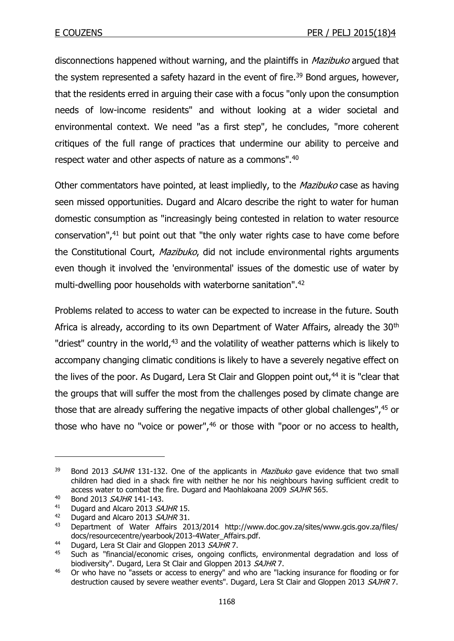disconnections happened without warning, and the plaintiffs in *Mazibuko* argued that the system represented a safety hazard in the event of fire.<sup>39</sup> Bond argues, however, that the residents erred in arguing their case with a focus "only upon the consumption needs of low-income residents" and without looking at a wider societal and environmental context. We need "as a first step", he concludes, "more coherent critiques of the full range of practices that undermine our ability to perceive and respect water and other aspects of nature as a commons".<sup>40</sup>

Other commentators have pointed, at least impliedly, to the *Mazibuko* case as having seen missed opportunities. Dugard and Alcaro describe the right to water for human domestic consumption as "increasingly being contested in relation to water resource conservation",<sup>41</sup> but point out that "the only water rights case to have come before the Constitutional Court, Mazibuko, did not include environmental rights arguments even though it involved the 'environmental' issues of the domestic use of water by multi-dwelling poor households with waterborne sanitation".<sup>42</sup>

Problems related to access to water can be expected to increase in the future. South Africa is already, according to its own Department of Water Affairs, already the 30<sup>th</sup> "driest" country in the world, $43$  and the volatility of weather patterns which is likely to accompany changing climatic conditions is likely to have a severely negative effect on the lives of the poor. As Dugard, Lera St Clair and Gloppen point out, $44$  it is "clear that the groups that will suffer the most from the challenges posed by climate change are those that are already suffering the negative impacts of other global challenges",<sup>45</sup> or those who have no "voice or power",<sup>46</sup> or those with "poor or no access to health,

 $39$  Bond 2013 SAJHR 131-132. One of the applicants in *Mazibuko* gave evidence that two small children had died in a shack fire with neither he nor his neighbours having sufficient credit to access water to combat the fire. Dugard and Maohlakoana 2009 SAJHR 565.

<sup>40</sup> Bond 2013 SAJHR 141-143.

<sup>&</sup>lt;sup>41</sup> Dugard and Alcaro 2013 SAJHR 15.

<sup>&</sup>lt;sup>42</sup> Dugard and Alcaro 2013 SAJHR 31.

<sup>43</sup> Department of Water Affairs 2013/2014 http://www.doc.gov.za/sites/www.gcis.gov.za/files/ docs/resourcecentre/yearbook/2013-4Water\_Affairs.pdf.

<sup>&</sup>lt;sup>44</sup> Dugard, Lera St Clair and Gloppen 2013 *SAJHR* 7.

Such as "financial/economic crises, ongoing conflicts, environmental degradation and loss of biodiversity". Dugard, Lera St Clair and Gloppen 2013 SAJHR 7.

<sup>&</sup>lt;sup>46</sup> Or who have no "assets or access to energy" and who are "lacking insurance for flooding or for destruction caused by severe weather events". Dugard, Lera St Clair and Gloppen 2013 SAJHR 7.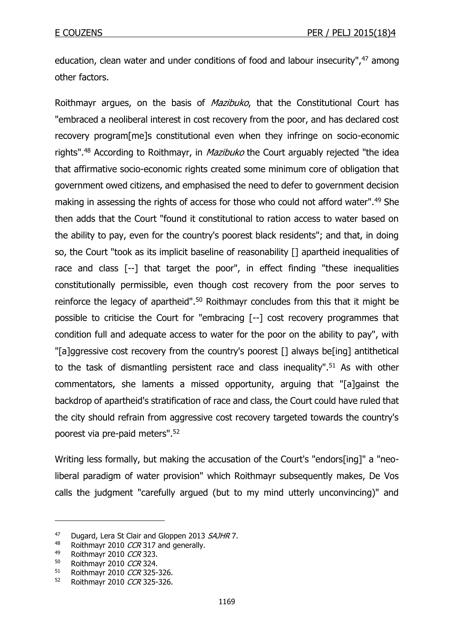education, clean water and under conditions of food and labour insecurity",<sup>47</sup> among other factors.

Roithmayr argues, on the basis of *Mazibuko*, that the Constitutional Court has "embraced a neoliberal interest in cost recovery from the poor, and has declared cost recovery program[me]s constitutional even when they infringe on socio-economic rights".<sup>48</sup> According to Roithmayr, in *Mazibuko* the Court arguably rejected "the idea that affirmative socio-economic rights created some minimum core of obligation that government owed citizens, and emphasised the need to defer to government decision making in assessing the rights of access for those who could not afford water".<sup>49</sup> She then adds that the Court "found it constitutional to ration access to water based on the ability to pay, even for the country's poorest black residents"; and that, in doing so, the Court "took as its implicit baseline of reasonability [] apartheid inequalities of race and class [--] that target the poor", in effect finding "these inequalities constitutionally permissible, even though cost recovery from the poor serves to reinforce the legacy of apartheid".<sup>50</sup> Roithmayr concludes from this that it might be possible to criticise the Court for "embracing [--] cost recovery programmes that condition full and adequate access to water for the poor on the ability to pay", with "[a]ggressive cost recovery from the country's poorest [] always be[ing] antithetical to the task of dismantling persistent race and class inequality".<sup>51</sup> As with other commentators, she laments a missed opportunity, arguing that "[a]gainst the backdrop of apartheid's stratification of race and class, the Court could have ruled that the city should refrain from aggressive cost recovery targeted towards the country's poorest via pre-paid meters".<sup>52</sup>

Writing less formally, but making the accusation of the Court's "endors[ing]" a "neoliberal paradigm of water provision" which Roithmayr subsequently makes, De Vos calls the judgment "carefully argued (but to my mind utterly unconvincing)" and

<sup>&</sup>lt;sup>47</sup> Dugard, Lera St Clair and Gloppen 2013 SAJHR 7.

<sup>&</sup>lt;sup>48</sup> Roithmayr 2010 CCR 317 and generally.<br><sup>49</sup> Poithmayr 2010 CCR 323

<sup>&</sup>lt;sup>49</sup> Roithmayr 2010 CCR 323.<br>50 Roithmayr 2010 CCR 324

Roithmayr 2010 CCR 324.

<sup>51</sup> Roithmayr 2010 CCR 325-326.

<sup>52</sup> Roithmayr 2010 CCR 325-326.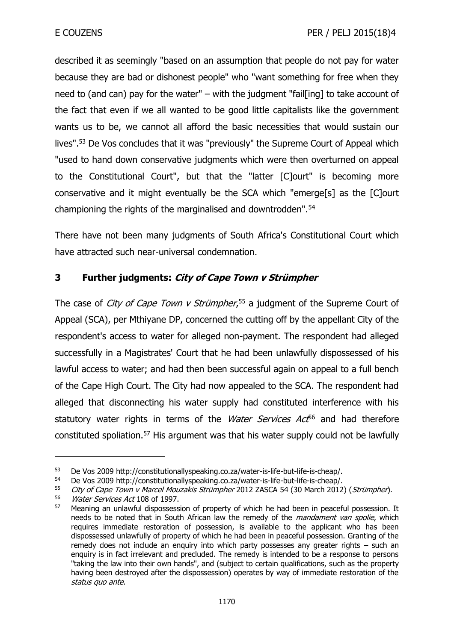described it as seemingly "based on an assumption that people do not pay for water because they are bad or dishonest people" who "want something for free when they need to (and can) pay for the water" – with the judgment "fail[ing] to take account of the fact that even if we all wanted to be good little capitalists like the government wants us to be, we cannot all afford the basic necessities that would sustain our lives".<sup>53</sup> De Vos concludes that it was "previously" the Supreme Court of Appeal which "used to hand down conservative judgments which were then overturned on appeal to the Constitutional Court", but that the "latter [C]ourt" is becoming more conservative and it might eventually be the SCA which "emerge[s] as the [C]ourt championing the rights of the marginalised and downtrodden".<sup>54</sup>

There have not been many judgments of South Africa's Constitutional Court which have attracted such near-universal condemnation.

# **3 Further judgments: City of Cape Town v Strümpher**

The case of *City of Cape Town v Strümpher*,<sup>55</sup> a judgment of the Supreme Court of Appeal (SCA), per Mthiyane DP, concerned the cutting off by the appellant City of the respondent's access to water for alleged non-payment. The respondent had alleged successfully in a Magistrates' Court that he had been unlawfully dispossessed of his lawful access to water; and had then been successful again on appeal to a full bench of the Cape High Court. The City had now appealed to the SCA. The respondent had alleged that disconnecting his water supply had constituted interference with his statutory water rights in terms of the *Water Services Act*<sup>56</sup> and had therefore constituted spoliation.<sup>57</sup> His argument was that his water supply could not be lawfully

<sup>53</sup> De Vos 2009 http://constitutionallyspeaking.co.za/water-is-life-but-life-is-cheap/.

<sup>54</sup> De Vos 2009 http://constitutionallyspeaking.co.za/water-is-life-but-life-is-cheap/.

<sup>55</sup> City of Cape Town v Marcel Mouzakis Strümpher 2012 ZASCA 54 (30 March 2012) (Strümpher).

 $\frac{56}{57}$  *Water Services Act* 108 of 1997.

Meaning an unlawful dispossession of property of which he had been in peaceful possession. It needs to be noted that in South African law the remedy of the *mandament van spolie*, which requires immediate restoration of possession, is available to the applicant who has been dispossessed unlawfully of property of which he had been in peaceful possession. Granting of the remedy does not include an enquiry into which party possesses any greater rights – such an enquiry is in fact irrelevant and precluded. The remedy is intended to be a response to persons "taking the law into their own hands", and (subject to certain qualifications, such as the property having been destroyed after the dispossession) operates by way of immediate restoration of the status quo ante.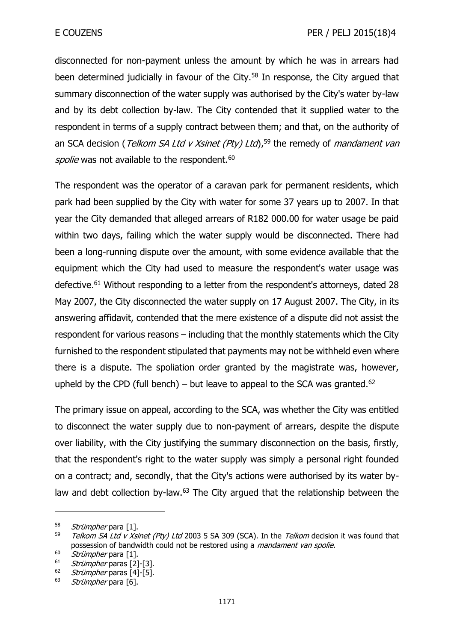disconnected for non-payment unless the amount by which he was in arrears had been determined judicially in favour of the City.<sup>58</sup> In response, the City argued that summary disconnection of the water supply was authorised by the City's water by-law and by its debt collection by-law. The City contended that it supplied water to the respondent in terms of a supply contract between them; and that, on the authority of an SCA decision (Telkom SA Ltd v Xsinet (Pty) Ltd),<sup>59</sup> the remedy of *mandament van* spolie was not available to the respondent.<sup>60</sup>

The respondent was the operator of a caravan park for permanent residents, which park had been supplied by the City with water for some 37 years up to 2007. In that year the City demanded that alleged arrears of R182 000.00 for water usage be paid within two days, failing which the water supply would be disconnected. There had been a long-running dispute over the amount, with some evidence available that the equipment which the City had used to measure the respondent's water usage was defective.<sup>61</sup> Without responding to a letter from the respondent's attorneys, dated 28 May 2007, the City disconnected the water supply on 17 August 2007. The City, in its answering affidavit, contended that the mere existence of a dispute did not assist the respondent for various reasons – including that the monthly statements which the City furnished to the respondent stipulated that payments may not be withheld even where there is a dispute. The spoliation order granted by the magistrate was, however, upheld by the CPD (full bench) – but leave to appeal to the SCA was granted.<sup>62</sup>

The primary issue on appeal, according to the SCA, was whether the City was entitled to disconnect the water supply due to non-payment of arrears, despite the dispute over liability, with the City justifying the summary disconnection on the basis, firstly, that the respondent's right to the water supply was simply a personal right founded on a contract; and, secondly, that the City's actions were authorised by its water bylaw and debt collection by-law.<sup>63</sup> The City argued that the relationship between the

<sup>&</sup>lt;sup>58</sup> *Strümpher* para [1].<br><sup>59</sup> *Telkom SA Ltd v Xsi* 

Telkom SA Ltd v Xsinet (Pty) Ltd 2003 5 SA 309 (SCA). In the Telkom decision it was found that possession of bandwidth could not be restored using a *mandament van spolie*.

 $^{60}$  *Strümpher* para [1].

 $^{61}$  *Strümpher* paras [2]-[3].<br> $^{62}$  *Strümpher* paras [4]-[5]

Strümpher paras [4]-[5].

 $63$  *Strümpher* para [6].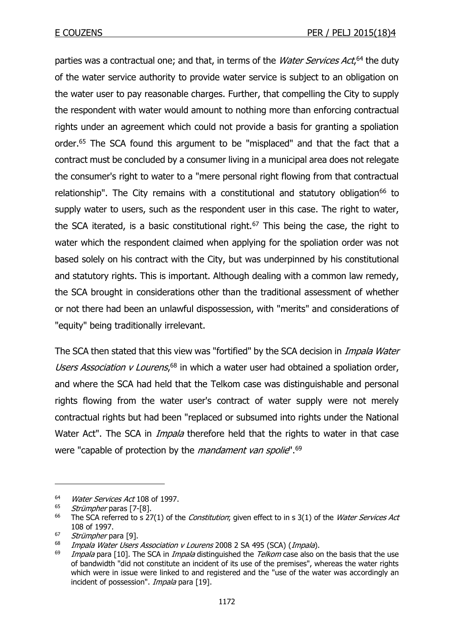parties was a contractual one; and that, in terms of the *Water Services Act*,<sup>64</sup> the duty of the water service authority to provide water service is subject to an obligation on the water user to pay reasonable charges. Further, that compelling the City to supply the respondent with water would amount to nothing more than enforcing contractual rights under an agreement which could not provide a basis for granting a spoliation order.<sup>65</sup> The SCA found this argument to be "misplaced" and that the fact that a contract must be concluded by a consumer living in a municipal area does not relegate the consumer's right to water to a "mere personal right flowing from that contractual relationship". The City remains with a constitutional and statutory obligation<sup>66</sup> to supply water to users, such as the respondent user in this case. The right to water, the SCA iterated, is a basic constitutional right. $67$  This being the case, the right to water which the respondent claimed when applying for the spoliation order was not based solely on his contract with the City, but was underpinned by his constitutional and statutory rights. This is important. Although dealing with a common law remedy, the SCA brought in considerations other than the traditional assessment of whether or not there had been an unlawful dispossession, with "merits" and considerations of "equity" being traditionally irrelevant.

The SCA then stated that this view was "fortified" by the SCA decision in *Impala Water* Users Association v Lourens,<sup>68</sup> in which a water user had obtained a spoliation order, and where the SCA had held that the Telkom case was distinguishable and personal rights flowing from the water user's contract of water supply were not merely contractual rights but had been "replaced or subsumed into rights under the National Water Act". The SCA in *Impala* therefore held that the rights to water in that case were "capable of protection by the *mandament van spolie*".<sup>69</sup>

<sup>&</sup>lt;sup>64</sup> *Water Services Act* 108 of 1997.

Strümpher paras [7-[8].

<sup>&</sup>lt;sup>66</sup> The SCA referred to s 27(1) of the *Constitution*; given effect to in s 3(1) of the *Water Services Act* 108 of 1997.

 $^{67}$  *Strümpher* para [9].

<sup>&</sup>lt;sup>68</sup> Impala Water Users Association v Lourens 2008 2 SA 495 (SCA) (Impala).

Impala para [10]. The SCA in *Impala* distinguished the *Telkom* case also on the basis that the use of bandwidth "did not constitute an incident of its use of the premises", whereas the water rights which were in issue were linked to and registered and the "use of the water was accordingly an incident of possession". *Impala* para [19].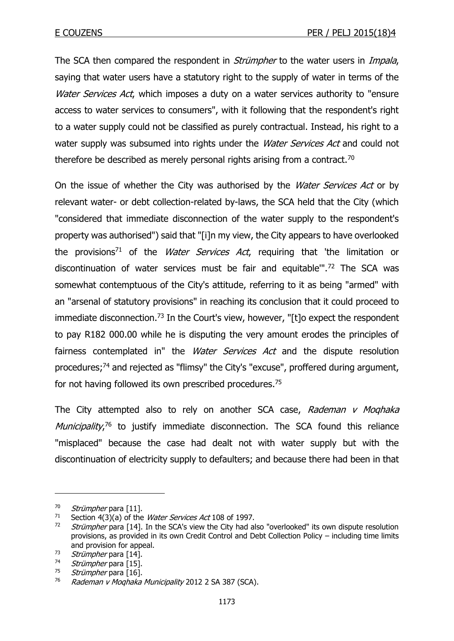The SCA then compared the respondent in *Strümpher* to the water users in *Impala*, saying that water users have a statutory right to the supply of water in terms of the Water Services Act, which imposes a duty on a water services authority to "ensure access to water services to consumers", with it following that the respondent's right to a water supply could not be classified as purely contractual. Instead, his right to a water supply was subsumed into rights under the *Water Services Act* and could not therefore be described as merely personal rights arising from a contract.<sup>70</sup>

On the issue of whether the City was authorised by the *Water Services Act* or by relevant water- or debt collection-related by-laws, the SCA held that the City (which "considered that immediate disconnection of the water supply to the respondent's property was authorised") said that "[i]n my view, the City appears to have overlooked the provisions<sup>71</sup> of the *Water Services Act*, requiring that 'the limitation or discontinuation of water services must be fair and equitable'".<sup>72</sup> The SCA was somewhat contemptuous of the City's attitude, referring to it as being "armed" with an "arsenal of statutory provisions" in reaching its conclusion that it could proceed to immediate disconnection.<sup>73</sup> In the Court's view, however, "[t]o expect the respondent to pay R182 000.00 while he is disputing the very amount erodes the principles of fairness contemplated in" the *Water Services Act* and the dispute resolution procedures;<sup>74</sup> and rejected as "flimsy" the City's "excuse", proffered during argument, for not having followed its own prescribed procedures.<sup>75</sup>

The City attempted also to rely on another SCA case, Rademan v Moghaka Municipality,<sup>76</sup> to justify immediate disconnection. The SCA found this reliance "misplaced" because the case had dealt not with water supply but with the discontinuation of electricity supply to defaulters; and because there had been in that

 $70$  *Strümpher* para [11].<br> $71$  Section 4(3)(a) of the

Section 4(3)(a) of the Water Services Act 108 of 1997.

 $72$  Strümpher para [14]. In the SCA's view the City had also "overlooked" its own dispute resolution provisions, as provided in its own Credit Control and Debt Collection Policy – including time limits and provision for appeal.

 $73$  *Strümpher* para [14].<br> $74$  *Strümpher* para [15]

<sup>&</sup>lt;sup>74</sup> *Strümpher* para [15].<br><sup>75</sup> Strümpher para [16]

Strümpher para [16].

<sup>76</sup> Rademan v Moqhaka Municipality 2012 2 SA 387 (SCA).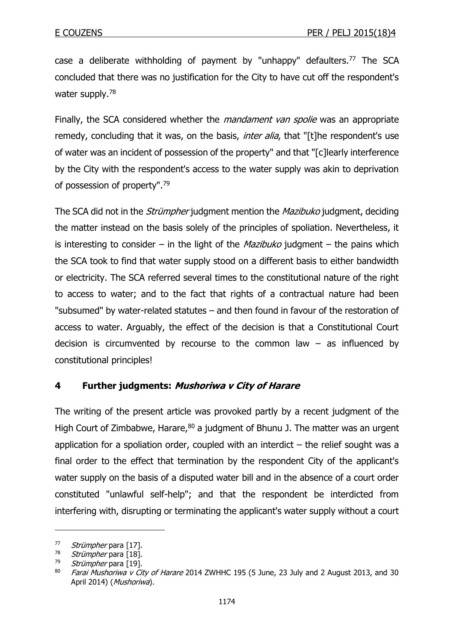case a deliberate withholding of payment by "unhappy" defaulters.<sup>77</sup> The SCA concluded that there was no justification for the City to have cut off the respondent's water supply.<sup>78</sup>

Finally, the SCA considered whether the *mandament van spolie* was an appropriate remedy, concluding that it was, on the basis, *inter alia*, that "[t]he respondent's use of water was an incident of possession of the property" and that "[c]learly interference by the City with the respondent's access to the water supply was akin to deprivation of possession of property".<sup>79</sup>

The SCA did not in the *Strümpher* judgment mention the *Mazibuko* judgment, deciding the matter instead on the basis solely of the principles of spoliation. Nevertheless, it is interesting to consider – in the light of the *Mazibuko* judgment – the pains which the SCA took to find that water supply stood on a different basis to either bandwidth or electricity. The SCA referred several times to the constitutional nature of the right to access to water; and to the fact that rights of a contractual nature had been "subsumed" by water-related statutes – and then found in favour of the restoration of access to water. Arguably, the effect of the decision is that a Constitutional Court decision is circumvented by recourse to the common law  $-$  as influenced by constitutional principles!

# **4 Further judgments: Mushoriwa v City of Harare**

The writing of the present article was provoked partly by a recent judgment of the High Court of Zimbabwe, Harare, $80$  a judgment of Bhunu J. The matter was an urgent application for a spoliation order, coupled with an interdict  $-$  the relief sought was a final order to the effect that termination by the respondent City of the applicant's water supply on the basis of a disputed water bill and in the absence of a court order constituted "unlawful self-help"; and that the respondent be interdicted from interfering with, disrupting or terminating the applicant's water supply without a court

 $77$  Strümpher para [17].<br> $78$  Strümpher para [18]

 $\frac{78}{79}$  *Strümpher* para [18].

Strümpher para [19].

 $80$  Farai Mushoriwa v City of Harare 2014 ZWHHC 195 (5 June, 23 July and 2 August 2013, and 30 April 2014) (Mushoriwa).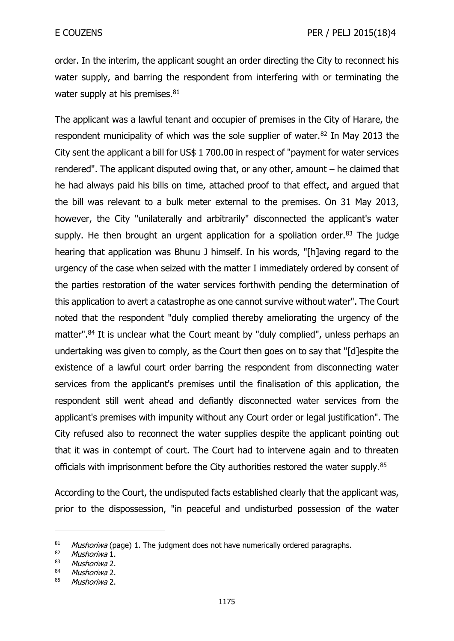order. In the interim, the applicant sought an order directing the City to reconnect his water supply, and barring the respondent from interfering with or terminating the water supply at his premises. $81$ 

The applicant was a lawful tenant and occupier of premises in the City of Harare, the respondent municipality of which was the sole supplier of water.<sup>82</sup> In May 2013 the City sent the applicant a bill for US\$ 1 700.00 in respect of "payment for water services rendered". The applicant disputed owing that, or any other, amount – he claimed that he had always paid his bills on time, attached proof to that effect, and argued that the bill was relevant to a bulk meter external to the premises. On 31 May 2013, however, the City "unilaterally and arbitrarily" disconnected the applicant's water supply. He then brought an urgent application for a spoliation order.<sup>83</sup> The judge hearing that application was Bhunu J himself. In his words, "[h]aving regard to the urgency of the case when seized with the matter I immediately ordered by consent of the parties restoration of the water services forthwith pending the determination of this application to avert a catastrophe as one cannot survive without water". The Court noted that the respondent "duly complied thereby ameliorating the urgency of the matter".<sup>84</sup> It is unclear what the Court meant by "duly complied", unless perhaps an undertaking was given to comply, as the Court then goes on to say that "[d]espite the existence of a lawful court order barring the respondent from disconnecting water services from the applicant's premises until the finalisation of this application, the respondent still went ahead and defiantly disconnected water services from the applicant's premises with impunity without any Court order or legal justification". The City refused also to reconnect the water supplies despite the applicant pointing out that it was in contempt of court. The Court had to intervene again and to threaten officials with imprisonment before the City authorities restored the water supply.<sup>85</sup>

According to the Court, the undisputed facts established clearly that the applicant was, prior to the dispossession, "in peaceful and undisturbed possession of the water

<sup>&</sup>lt;sup>81</sup> Mushoriwa (page) 1. The judgment does not have numerically ordered paragraphs.<br><sup>82</sup> Mushoriwa 1

<sup>&</sup>lt;sup>82</sup> Mushoriwa 1.<br><sup>83</sup> Mushoriwa 2

Mushoriwa 2.

<sup>84</sup> Mushoriwa 2.

<sup>85</sup> Mushoriwa 2.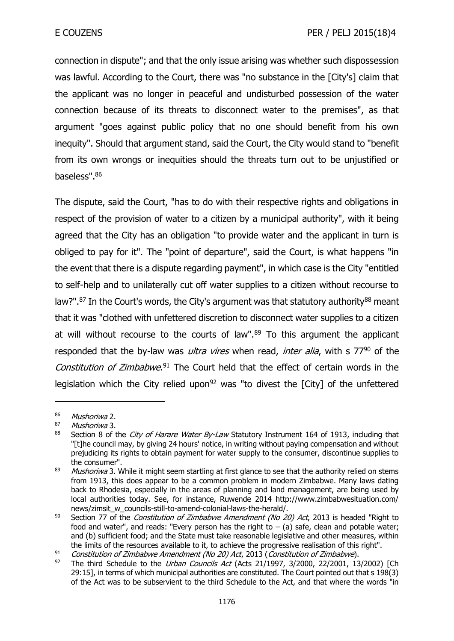connection in dispute"; and that the only issue arising was whether such dispossession was lawful. According to the Court, there was "no substance in the [City's] claim that the applicant was no longer in peaceful and undisturbed possession of the water connection because of its threats to disconnect water to the premises", as that argument "goes against public policy that no one should benefit from his own inequity". Should that argument stand, said the Court, the City would stand to "benefit from its own wrongs or inequities should the threats turn out to be unjustified or baseless".<sup>86</sup>

The dispute, said the Court, "has to do with their respective rights and obligations in respect of the provision of water to a citizen by a municipal authority", with it being agreed that the City has an obligation "to provide water and the applicant in turn is obliged to pay for it". The "point of departure", said the Court, is what happens "in the event that there is a dispute regarding payment", in which case is the City "entitled to self-help and to unilaterally cut off water supplies to a citizen without recourse to law?".<sup>87</sup> In the Court's words, the City's argument was that statutory authority<sup>88</sup> meant that it was "clothed with unfettered discretion to disconnect water supplies to a citizen at will without recourse to the courts of law".<sup>89</sup> To this argument the applicant responded that the by-law was *ultra vires* when read, *inter alia*, with s  $77<sup>90</sup>$  of the Constitution of Zimbabwe.<sup>91</sup> The Court held that the effect of certain words in the legislation which the City relied upon<sup>92</sup> was "to divest the  $[City]$  of the unfettered

 $\frac{86}{87}$  Mushoriwa 2.

Mushoriwa 3.

<sup>88</sup> Section 8 of the City of Harare Water By-Law Statutory Instrument 164 of 1913, including that "[t]he council may, by giving 24 hours' notice, in writing without paying compensation and without prejudicing its rights to obtain payment for water supply to the consumer, discontinue supplies to the consumer".

<sup>&</sup>lt;sup>89</sup> Mushoriwa 3. While it might seem startling at first glance to see that the authority relied on stems from 1913, this does appear to be a common problem in modern Zimbabwe. Many laws dating back to Rhodesia, especially in the areas of planning and land management, are being used by local authorities today. See, for instance, Ruwende 2014 http://www.zimbabwesituation.com/ news/zimsit\_w\_councils-still-to-amend-colonial-laws-the-herald/.

<sup>&</sup>lt;sup>90</sup> Section 77 of the *Constitution of Zimbabwe Amendment (No 20) Act*, 2013 is headed "Right to food and water", and reads: "Every person has the right to  $-$  (a) safe, clean and potable water; and (b) sufficient food; and the State must take reasonable legislative and other measures, within the limits of the resources available to it, to achieve the progressive realisation of this right".

<sup>91</sup> Constitution of Zimbabwe Amendment (No 20) Act, 2013 (Constitution of Zimbabwe).<br>92 The third Schedule to the Urban Councils Act (Acts 21/1997, 3/2000, 22/2001, 13

The third Schedule to the *Urban Councils Act* (Acts 21/1997, 3/2000, 22/2001, 13/2002) [Ch 29:15], in terms of which municipal authorities are constituted. The Court pointed out that s 198(3) of the Act was to be subservient to the third Schedule to the Act, and that where the words "in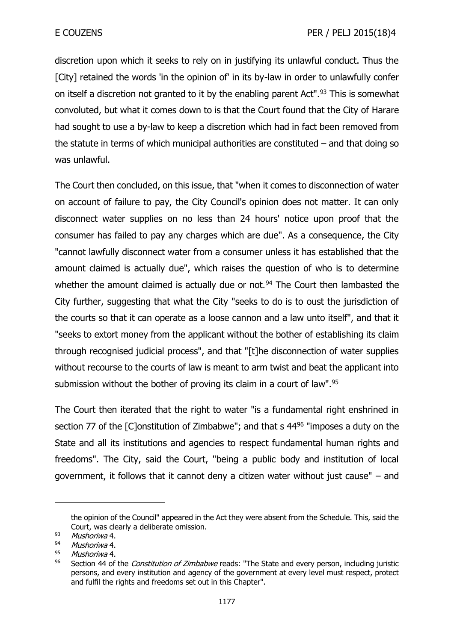discretion upon which it seeks to rely on in justifying its unlawful conduct. Thus the [City] retained the words 'in the opinion of' in its by-law in order to unlawfully confer on itself a discretion not granted to it by the enabling parent Act".<sup>93</sup> This is somewhat convoluted, but what it comes down to is that the Court found that the City of Harare had sought to use a by-law to keep a discretion which had in fact been removed from the statute in terms of which municipal authorities are constituted – and that doing so was unlawful.

The Court then concluded, on this issue, that "when it comes to disconnection of water on account of failure to pay, the City Council's opinion does not matter. It can only disconnect water supplies on no less than 24 hours' notice upon proof that the consumer has failed to pay any charges which are due". As a consequence, the City "cannot lawfully disconnect water from a consumer unless it has established that the amount claimed is actually due", which raises the question of who is to determine whether the amount claimed is actually due or not. $94$  The Court then lambasted the City further, suggesting that what the City "seeks to do is to oust the jurisdiction of the courts so that it can operate as a loose cannon and a law unto itself", and that it "seeks to extort money from the applicant without the bother of establishing its claim through recognised judicial process", and that "[t]he disconnection of water supplies without recourse to the courts of law is meant to arm twist and beat the applicant into submission without the bother of proving its claim in a court of law".<sup>95</sup>

The Court then iterated that the right to water "is a fundamental right enshrined in section 77 of the [C]onstitution of Zimbabwe"; and that s 44<sup>96</sup> "imposes a duty on the State and all its institutions and agencies to respect fundamental human rights and freedoms". The City, said the Court, "being a public body and institution of local government, it follows that it cannot deny a citizen water without just cause" – and

the opinion of the Council" appeared in the Act they were absent from the Schedule. This, said the Court, was clearly a deliberate omission.

<sup>93</sup> Mushoriwa 4.

 $^{94}$  Mushoriwa 4.

 $^{95}$  Mushoriwa 4.<br> $^{96}$  Section 44 of

Section 44 of the *Constitution of Zimbabwe* reads: "The State and every person, including juristic persons, and every institution and agency of the government at every level must respect, protect and fulfil the rights and freedoms set out in this Chapter".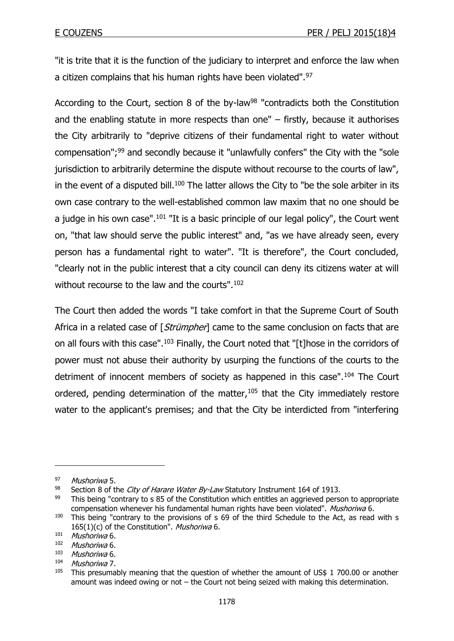"it is trite that it is the function of the judiciary to interpret and enforce the law when a citizen complains that his human rights have been violated".<sup>97</sup>

According to the Court, section 8 of the by-law<sup>98</sup> "contradicts both the Constitution and the enabling statute in more respects than one" – firstly, because it authorises the City arbitrarily to "deprive citizens of their fundamental right to water without compensation";<sup>99</sup> and secondly because it "unlawfully confers" the City with the "sole jurisdiction to arbitrarily determine the dispute without recourse to the courts of law", in the event of a disputed bill.<sup>100</sup> The latter allows the City to "be the sole arbiter in its own case contrary to the well-established common law maxim that no one should be a judge in his own case".<sup>101</sup> "It is a basic principle of our legal policy", the Court went on, "that law should serve the public interest" and, "as we have already seen, every person has a fundamental right to water". "It is therefore", the Court concluded, "clearly not in the public interest that a city council can deny its citizens water at will without recourse to the law and the courts".<sup>102</sup>

The Court then added the words "I take comfort in that the Supreme Court of South Africa in a related case of [Strümpher] came to the same conclusion on facts that are on all fours with this case".<sup>103</sup> Finally, the Court noted that "[t]hose in the corridors of power must not abuse their authority by usurping the functions of the courts to the detriment of innocent members of society as happened in this case".<sup>104</sup> The Court ordered, pending determination of the matter, $105$  that the City immediately restore water to the applicant's premises; and that the City be interdicted from "interfering

<sup>97</sup> Mushoriwa 5.

<sup>98</sup> Section 8 of the City of Harare Water By-Law Statutory Instrument 164 of 1913.

 $99$  This being "contrary to s 85 of the Constitution which entitles an aggrieved person to appropriate compensation whenever his fundamental human rights have been violated". Mushoriwa 6.

<sup>&</sup>lt;sup>100</sup> This being "contrary to the provisions of s 69 of the third Schedule to the Act, as read with s 165(1)(c) of the Constitution". Mushoriwa 6.

<sup>101</sup> Mushoriwa 6.

 $102$  Mushoriwa 6.<br> $103$  Mushoriwa 6.

 $\frac{103}{104}$  Mushoriwa 6.

Mushoriwa 7.

<sup>&</sup>lt;sup>105</sup> This presumably meaning that the question of whether the amount of US\$ 1 700.00 or another amount was indeed owing or not – the Court not being seized with making this determination.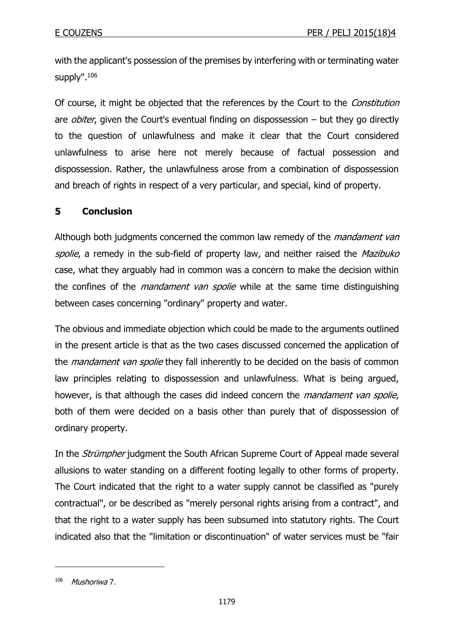with the applicant's possession of the premises by interfering with or terminating water supply".<sup>106</sup>

Of course, it might be objected that the references by the Court to the Constitution are *obiter*, given the Court's eventual finding on dispossession  $-$  but they go directly to the question of unlawfulness and make it clear that the Court considered unlawfulness to arise here not merely because of factual possession and dispossession. Rather, the unlawfulness arose from a combination of dispossession and breach of rights in respect of a very particular, and special, kind of property.

# **5 Conclusion**

Although both judgments concerned the common law remedy of the *mandament van* spolie, a remedy in the sub-field of property law, and neither raised the Mazibuko case, what they arguably had in common was a concern to make the decision within the confines of the *mandament van spolie* while at the same time distinguishing between cases concerning "ordinary" property and water.

The obvious and immediate objection which could be made to the arguments outlined in the present article is that as the two cases discussed concerned the application of the *mandament van spolie* they fall inherently to be decided on the basis of common law principles relating to dispossession and unlawfulness. What is being argued, however, is that although the cases did indeed concern the *mandament van spolie*, both of them were decided on a basis other than purely that of dispossession of ordinary property.

In the *Strümpher* judgment the South African Supreme Court of Appeal made several allusions to water standing on a different footing legally to other forms of property. The Court indicated that the right to a water supply cannot be classified as "purely contractual", or be described as "merely personal rights arising from a contract", and that the right to a water supply has been subsumed into statutory rights. The Court indicated also that the "limitation or discontinuation" of water services must be "fair

 $106$  Mushoriwa 7.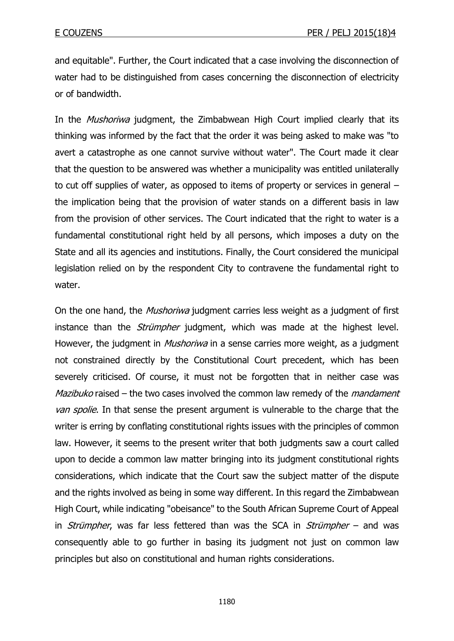and equitable". Further, the Court indicated that a case involving the disconnection of water had to be distinguished from cases concerning the disconnection of electricity or of bandwidth.

In the *Mushoriwa* judgment, the Zimbabwean High Court implied clearly that its thinking was informed by the fact that the order it was being asked to make was "to avert a catastrophe as one cannot survive without water". The Court made it clear that the question to be answered was whether a municipality was entitled unilaterally to cut off supplies of water, as opposed to items of property or services in general – the implication being that the provision of water stands on a different basis in law from the provision of other services. The Court indicated that the right to water is a fundamental constitutional right held by all persons, which imposes a duty on the State and all its agencies and institutions. Finally, the Court considered the municipal legislation relied on by the respondent City to contravene the fundamental right to water.

On the one hand, the *Mushoriwa* judgment carries less weight as a judgment of first instance than the *Strümpher* judgment, which was made at the highest level. However, the judgment in *Mushoriwa* in a sense carries more weight, as a judgment not constrained directly by the Constitutional Court precedent, which has been severely criticised. Of course, it must not be forgotten that in neither case was Mazibuko raised – the two cases involved the common law remedy of the *mandament* van spolie. In that sense the present argument is vulnerable to the charge that the writer is erring by conflating constitutional rights issues with the principles of common law. However, it seems to the present writer that both judgments saw a court called upon to decide a common law matter bringing into its judgment constitutional rights considerations, which indicate that the Court saw the subject matter of the dispute and the rights involved as being in some way different. In this regard the Zimbabwean High Court, while indicating "obeisance" to the South African Supreme Court of Appeal in *Strümpher*, was far less fettered than was the SCA in *Strümpher* – and was consequently able to go further in basing its judgment not just on common law principles but also on constitutional and human rights considerations.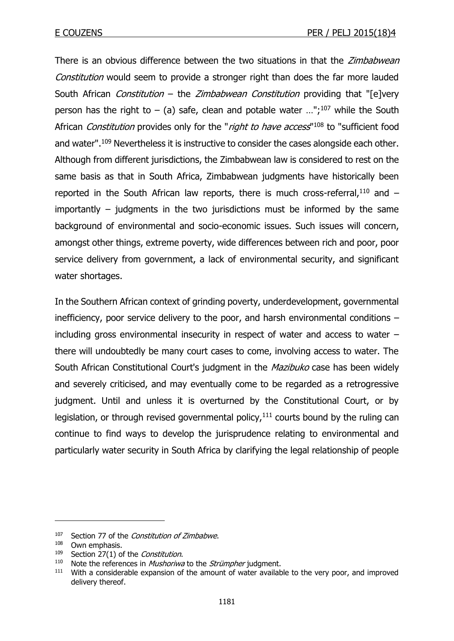There is an obvious difference between the two situations in that the *Zimbabwean* Constitution would seem to provide a stronger right than does the far more lauded South African *Constitution* – the *Zimbabwean Constitution* providing that "[e]very person has the right to – (a) safe, clean and potable water  $\ldots$ ";<sup>107</sup> while the South African *Constitution* provides only for the "right to have access"<sup>108</sup> to "sufficient food and water".<sup>109</sup> Nevertheless it is instructive to consider the cases alongside each other. Although from different jurisdictions, the Zimbabwean law is considered to rest on the same basis as that in South Africa, Zimbabwean judgments have historically been reported in the South African law reports, there is much cross-referral, $110$  and  $$ importantly – judgments in the two jurisdictions must be informed by the same background of environmental and socio-economic issues. Such issues will concern, amongst other things, extreme poverty, wide differences between rich and poor, poor service delivery from government, a lack of environmental security, and significant water shortages.

In the Southern African context of grinding poverty, underdevelopment, governmental inefficiency, poor service delivery to the poor, and harsh environmental conditions – including gross environmental insecurity in respect of water and access to water – there will undoubtedly be many court cases to come, involving access to water. The South African Constitutional Court's judgment in the *Mazibuko* case has been widely and severely criticised, and may eventually come to be regarded as a retrogressive judgment. Until and unless it is overturned by the Constitutional Court, or by legislation, or through revised governmental policy, $111$  courts bound by the ruling can continue to find ways to develop the jurisprudence relating to environmental and particularly water security in South Africa by clarifying the legal relationship of people

 $107$  Section 77 of the Constitution of Zimbabwe.

 $^{108}$  Own emphasis.<br> $^{109}$  Section 27(1) o

 $109$  Section 27(1) of the *Constitution*.

Note the references in *Mushoriwa* to the *Strümpher* judgment.

<sup>&</sup>lt;sup>111</sup> With a considerable expansion of the amount of water available to the very poor, and improved delivery thereof.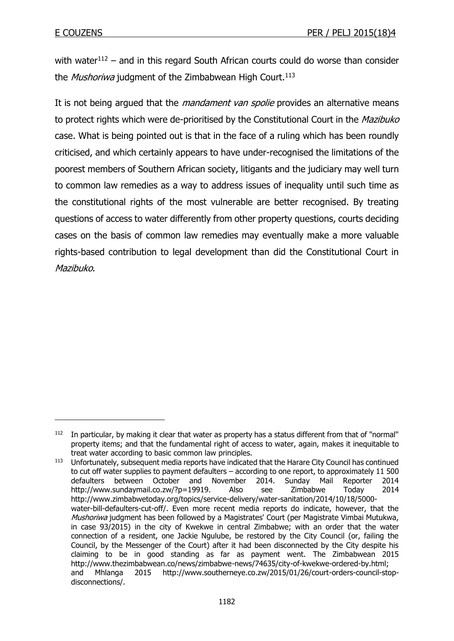-

with water $112$  – and in this regard South African courts could do worse than consider the Mushoriwa judgment of the Zimbabwean High Court.<sup>113</sup>

It is not being argued that the *mandament van spolie* provides an alternative means to protect rights which were de-prioritised by the Constitutional Court in the Mazibuko case. What is being pointed out is that in the face of a ruling which has been roundly criticised, and which certainly appears to have under-recognised the limitations of the poorest members of Southern African society, litigants and the judiciary may well turn to common law remedies as a way to address issues of inequality until such time as the constitutional rights of the most vulnerable are better recognised. By treating questions of access to water differently from other property questions, courts deciding cases on the basis of common law remedies may eventually make a more valuable rights-based contribution to legal development than did the Constitutional Court in Mazibuko.

<sup>&</sup>lt;sup>112</sup> In particular, by making it clear that water as property has a status different from that of "normal" property items; and that the fundamental right of access to water, again, makes it inequitable to treat water according to basic common law principles.

<sup>113</sup> Unfortunately, subsequent media reports have indicated that the Harare City Council has continued to cut off water supplies to payment defaulters – according to one report, to approximately 11 500 defaulters between October and November 2014. Sunday Mail Reporter 2014 http://www.sundaymail.co.zw/?p=19919. Also see Zimbabwe Today 2014 http://www.zimbabwetoday.org/topics/service-delivery/water-sanitation/2014/10/18/5000 water-bill-defaulters-cut-off/. Even more recent media reports do indicate, however, that the Mushoriwa judgment has been followed by a Magistrates' Court (per Magistrate Vimbai Mutukwa, in case 93/2015) in the city of Kwekwe in central Zimbabwe; with an order that the water connection of a resident, one Jackie Ngulube, be restored by the City Council (or, failing the Council, by the Messenger of the Court) after it had been disconnected by the City despite his claiming to be in good standing as far as payment went. The Zimbabwean 2015 http://www.thezimbabwean.co/news/zimbabwe-news/74635/city-of-kwekwe-ordered-by.html; and Mhlanga 2015 http://www.southerneye.co.zw/2015/01/26/court-orders-council-stopdisconnections/.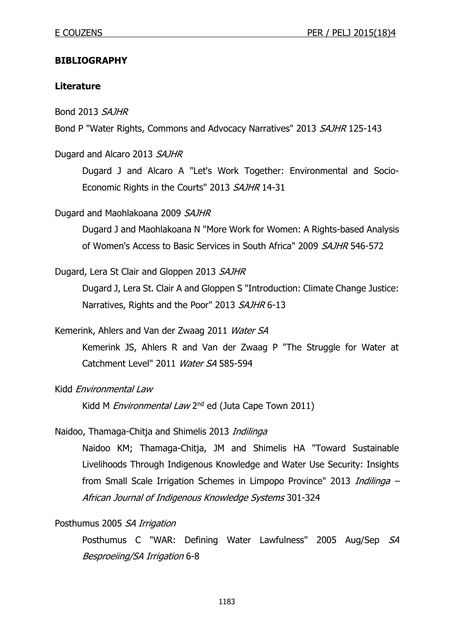### **BIBLIOGRAPHY**

#### **Literature**

Bond 2013 SAJHR

Bond P "Water Rights, Commons and Advocacy Narratives" 2013 SAJHR 125-143

#### Dugard and Alcaro 2013 SAJHR

Dugard J and Alcaro A "Let's Work Together: Environmental and Socio-Economic Rights in the Courts" 2013 SAJHR 14-31

#### Dugard and Maohlakoana 2009 SAJHR

Dugard J and Maohlakoana N "More Work for Women: A Rights-based Analysis of Women's Access to Basic Services in South Africa" 2009 SAJHR 546-572

#### Dugard, Lera St Clair and Gloppen 2013 SAJHR

Dugard J, Lera St. Clair A and Gloppen S "Introduction: Climate Change Justice: Narratives, Rights and the Poor" 2013 SAJHR 6-13

#### Kemerink, Ahlers and Van der Zwaag 2011 Water SA

Kemerink JS, Ahlers R and Van der Zwaag P "The Struggle for Water at Catchment Level" 2011 Water SA 585-594

#### Kidd Environmental Law

Kidd M Environmental Law 2<sup>nd</sup> ed (Juta Cape Town 2011)

#### Naidoo, Thamaga-Chitja and Shimelis 2013 Indilinga

Naidoo KM; Thamaga-Chitja, JM and Shimelis HA "Toward Sustainable Livelihoods Through Indigenous Knowledge and Water Use Security: Insights from Small Scale Irrigation Schemes in Limpopo Province" 2013 Indilinga -African Journal of Indigenous Knowledge Systems 301-324

#### Posthumus 2005 SA Irrigation

Posthumus C "WAR: Defining Water Lawfulness" 2005 Aug/Sep SA Besproeiing/SA Irrigation 6-8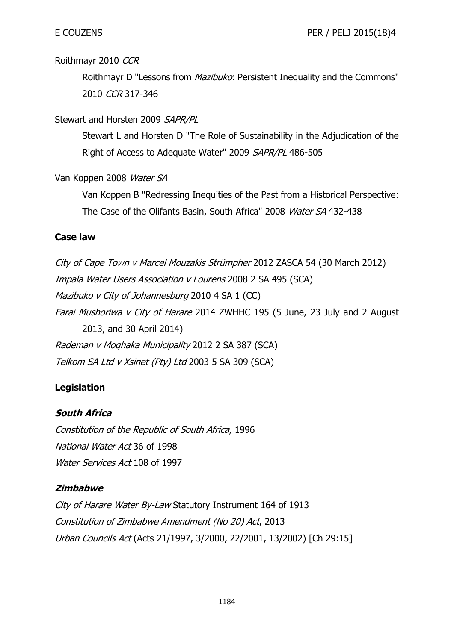Roithmayr 2010 CCR

Roithmayr D "Lessons from *Mazibuko*: Persistent Inequality and the Commons" 2010 CCR 317-346

Stewart and Horsten 2009 SAPR/PL

Stewart L and Horsten D "The Role of Sustainability in the Adjudication of the Right of Access to Adequate Water" 2009 SAPR/PL 486-505

Van Koppen 2008 Water SA

Van Koppen B "Redressing Inequities of the Past from a Historical Perspective: The Case of the Olifants Basin, South Africa" 2008 Water SA 432-438

### **Case law**

City of Cape Town v Marcel Mouzakis Strümpher 2012 ZASCA 54 (30 March 2012) Impala Water Users Association v Lourens 2008 2 SA 495 (SCA) Mazibuko v City of Johannesburg 2010 4 SA 1 (CC) Farai Mushoriwa v City of Harare 2014 ZWHHC 195 (5 June, 23 July and 2 August 2013, and 30 April 2014) Rademan v Moqhaka Municipality 2012 2 SA 387 (SCA) Telkom SA Ltd v Xsinet (Pty) Ltd 2003 5 SA 309 (SCA)

# **Legislation**

#### **South Africa**

Constitution of the Republic of South Africa, 1996 National Water Act 36 of 1998 Water Services Act 108 of 1997

# **Zimbabwe**

City of Harare Water By-Law Statutory Instrument 164 of 1913 Constitution of Zimbabwe Amendment (No 20) Act, 2013 Urban Councils Act (Acts 21/1997, 3/2000, 22/2001, 13/2002) [Ch 29:15]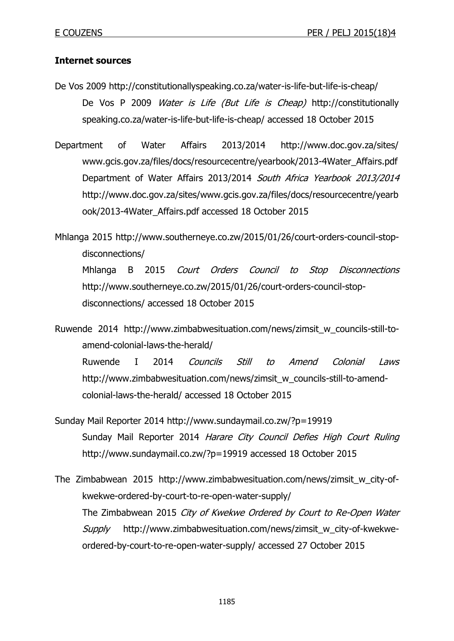# **Internet sources**

- De Vos 2009 http://constitutionallyspeaking.co.za/water-is-life-but-life-is-cheap/ De Vos P 2009 Water is Life (But Life is Cheap) http://constitutionally speaking.co.za/water-is-life-but-life-is-cheap/ accessed 18 October 2015
- Department of Water Affairs 2013/2014 http://www.doc.gov.za/sites/ www.gcis.gov.za/files/docs/resourcecentre/yearbook/2013-4Water\_Affairs.pdf Department of Water Affairs 2013/2014 South Africa Yearbook 2013/2014 http://www.doc.gov.za/sites/www.gcis.gov.za/files/docs/resourcecentre/yearb ook/2013-4Water\_Affairs.pdf accessed 18 October 2015
- Mhlanga 2015 http://www.southerneye.co.zw/2015/01/26/court-orders-council-stopdisconnections/ Mhlanga B 2015 Court Orders Council to Stop Disconnections http://www.southerneye.co.zw/2015/01/26/court-orders-council-stopdisconnections/ accessed 18 October 2015

Ruwende 2014 http://www.zimbabwesituation.com/news/zimsit\_w\_councils-still-toamend-colonial-laws-the-herald/ Ruwende I 2014 Councils Still to Amend Colonial Laws http://www.zimbabwesituation.com/news/zimsit\_w\_councils-still-to-amendcolonial-laws-the-herald/ accessed 18 October 2015

- Sunday Mail Reporter 2014 http://www.sundaymail.co.zw/?p=19919 Sunday Mail Reporter 2014 Harare City Council Defies High Court Ruling http://www.sundaymail.co.zw/?p=19919 accessed 18 October 2015
- The Zimbabwean 2015 http://www.zimbabwesituation.com/news/zimsit\_w\_city-ofkwekwe-ordered-by-court-to-re-open-water-supply/ The Zimbabwean 2015 City of Kwekwe Ordered by Court to Re-Open Water Supply http://www.zimbabwesituation.com/news/zimsit\_w\_city-of-kwekweordered-by-court-to-re-open-water-supply/ accessed 27 October 2015